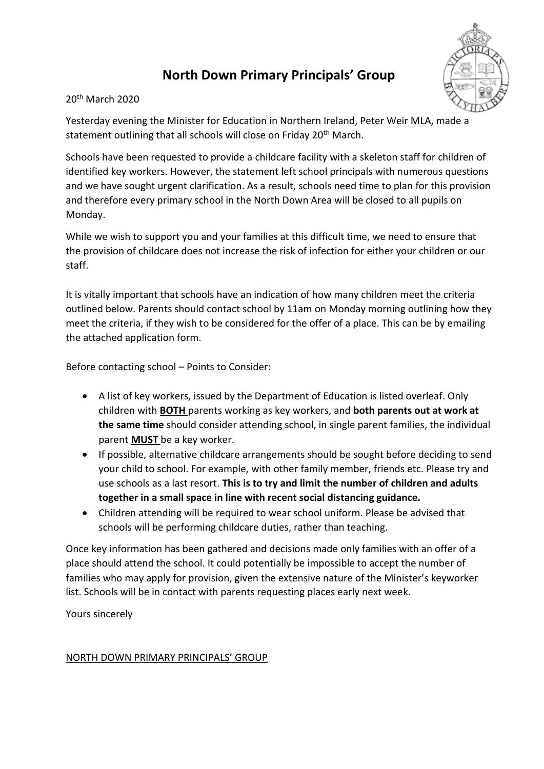# **North Down Primary Principals' Group**



#### 20th March 2020

Yesterday evening the Minister for Education in Northern Ireland, Peter Weir MLA, made a statement outlining that all schools will close on Friday 20<sup>th</sup> March.

Schools have been requested to provide a childcare facility with a skeleton staff for children of identified key workers. However, the statement left school principals with numerous questions and we have sought urgent clarification. As a result, schools need time to plan for this provision and therefore every primary school in the North Down Area will be closed to all pupils on Monday.

While we wish to support you and your families at this difficult time, we need to ensure that the provision of childcare does not increase the risk of infection for either your children or our staff.

It is vitally important that schools have an indication of how many children meet the criteria outlined below. Parents should contact school by 11am on Monday morning outlining how they meet the criteria, if they wish to be considered for the offer of a place. This can be by emailing the attached application form.

Before contacting school – Points to Consider:

- A list of key workers, issued by the Department of Education is listed overleaf. Only children with **BOTH** parents working as key workers, and **both parents out at work at the same time** should consider attending school, in single parent families, the individual parent **MUST** be a key worker.
- If possible, alternative childcare arrangements should be sought before deciding to send your child to school. For example, with other family member, friends etc. Please try and use schools as a last resort. **This is to try and limit the number of children and adults together in a small space in line with recent social distancing guidance.**
- Children attending will be required to wear school uniform. Please be advised that schools will be performing childcare duties, rather than teaching.

Once key information has been gathered and decisions made only families with an offer of a place should attend the school. It could potentially be impossible to accept the number of families who may apply for provision, given the extensive nature of the Minister's keyworker list. Schools will be in contact with parents requesting places early next week.

Yours sincerely

## NORTH DOWN PRIMARY PRINCIPALS' GROUP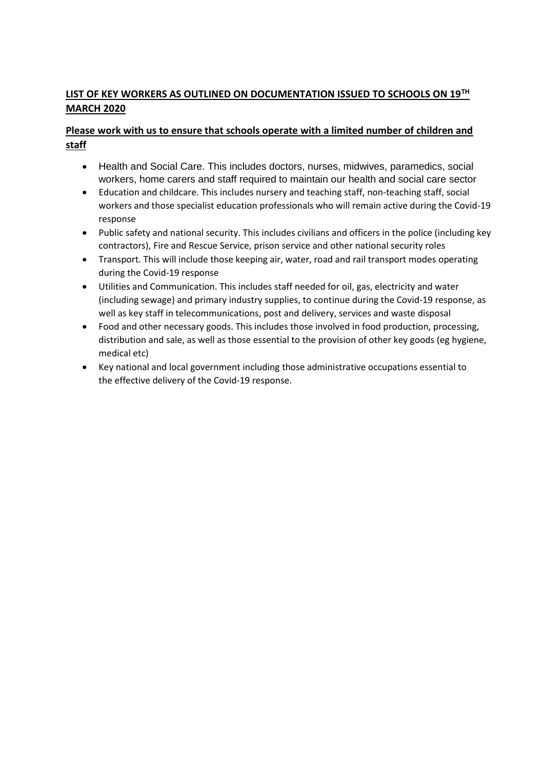## **LIST OF KEY WORKERS AS OUTLINED ON DOCUMENTATION ISSUED TO SCHOOLS ON 19TH MARCH 2020**

### **Please work with us to ensure that schools operate with a limited number of children and staff**

- Health and Social Care. This includes doctors, nurses, midwives, paramedics, social workers, home carers and staff required to maintain our health and social care sector
- Education and childcare. This includes nursery and teaching staff, non-teaching staff, social workers and those specialist education professionals who will remain active during the Covid-19 response
- Public safety and national security. This includes civilians and officers in the police (including key contractors), Fire and Rescue Service, prison service and other national security roles
- Transport. This will include those keeping air, water, road and rail transport modes operating during the Covid-19 response
- Utilities and Communication. This includes staff needed for oil, gas, electricity and water (including sewage) and primary industry supplies, to continue during the Covid-19 response, as well as key staff in telecommunications, post and delivery, services and waste disposal
- Food and other necessary goods. This includes those involved in food production, processing, distribution and sale, as well as those essential to the provision of other key goods (eg hygiene, medical etc)
- Key national and local government including those administrative occupations essential to the effective delivery of the Covid-19 response.